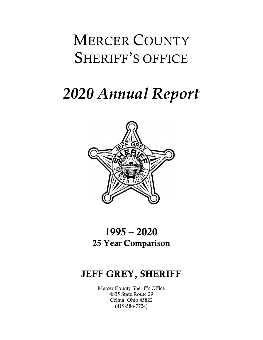## MERCER COUNTY SHERIFF'S OFFICE

# 2020 Annual Report



## 1995 – 2020 25 Year Comparison

### JEFF GREY, SHERIFF

Mercer County Sheriff's Office 4835 State Route 29 Celina, Ohio 45822 (419-586-7724)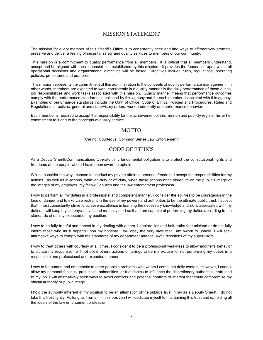#### MISSION STATEMENT

The mission for every member of this Sheriff's Office is to consistently seek and find ways to affirmatively promote, preserve and deliver a feeling of security, safety and quality services to members of our community.

This mission is a commitment to quality performance from all members. It is critical that all members understand, accept and be aligned with the responsibilities established by this mission. It provides the foundation upon which all operational decisions and organizational directives will be based. Directives include rules, regulations, operating policies, procedures and practices.

This mission represents the commitment of this administration to the concepts of quality performance management. In other words, members are expected to work consistently in a quality manner in the daily performance of those duties, job responsibilities and work tasks associated with this mission. Quality manner means that performance outcomes comply with the performance standards established by this agency and for each member associated with this agency. Examples of performance standards include the Oath of Office, Code of Ethics, Policies and Procedures, Rules and Regulations, directives, general and supervisory orders, work productivity and performance behavior.

Each member is required to accept the responsibility for the achievement of this mission and publicly register his or her commitment to it and to the concepts of quality service.

#### **MOTTO**

"Caring, Courteous, Common Sense Law Enforcement"

#### CODE OF ETHICS

As a Deputy Sheriff/Communications Operator, my fundamental obligation is to protect the constitutional rights and freedoms of the people whom I have been sworn to uphold.

While I consider the way I choose to conduct my private affairs a personal freedom, I accept the responsibilities for my actions , as well as in-actions, while on-duty or off-duty, when those actions bring disrepute on the public's image or the images of my employer, my fellow Deputies and the law enforcement profession.

I vow to perform all my duties in a professional and competent manner. I consider the abilities to be courageous in the face of danger and to exercise restraint in the use of my powers and authorities to be the ultimate public trust. I accept that I must consistently strive to achieve excellence in learning the necessary knowledge and skills associated with my duties. I will keep myself physically fit and mentally alert so that I am capable of performing my duties according to the standards of quality expected of my position.

I vow to be fully truthful and honest in my dealing with others. I deplore lies and half-truths that mislead or do not fully inform those who must depend upon my honesty. I will obey the very laws that I am sworn to uphold. I will seek affirmative ways to comply with the standards of my department and the lawful directions of my supervisors.

I vow to treat others with courtesy at all times. I consider it to be a professional weakness to allow another's behavior to dictate my response. I will not allow others actions or failings to be my excuse for not performing my duties in a responsible and professional and expected manner.

I vow to be human and empathetic to other people's problems with whom I come into daily contact. However, I cannot allow my personal feelings, prejudices, animosities, or friendships to influence the discretionary authorities' entrusted to my job. I will affirmatively seek ways to avoid conflicts and potential conflicts of interest that could compromise my official authority or public image.

I hold the authority inherent in my position to be an affirmation of the public's trust in my as a Deputy Sheriff. I do not take this trust lightly. As long as I remain in this position I will dedicate myself to maintaining this trust and upholding all the ideals of the law enforcement profession.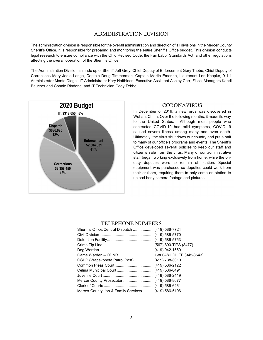#### ADMINISTRATION DIVISION

The administration division is responsible for the overall administration and direction of all divisions in the Mercer County Sheriff's Office. It is responsible for preparing and monitoring the entire Sheriff's Office budget. This division conducts legal research to ensure compliance with the Ohio Revised Code, the Fair Labor Standards Act, and other regulations affecting the overall operation of the Sheriff's Office.

The Administration Division is made up of Sheriff Jeff Grey, Chief Deputy of Enforcement Gery Thobe, Chief Deputy of Corrections Mary Jodie Lange, Captain Doug Timmerman, Captain Martin Emerine, Lieutenant Lori Knapke, 9-1-1 Administrator Monte Diegel, IT Administrator Kory Hoffhines, Executive Assistant Ashley Carr, Fiscal Managers Kandi Baucher and Connie Rinderle, and IT Technician Cody Tebbe.



41% citizen's safe from the virus. Many of our administrative 42% their cruisers, requiring them to only come on station to 12% and the country state of the virus shut down our country and put a halt the virus shut down our country and put a halt In December of 2019, a new virus was discovered in Wuhan, China. Over the following months, it made its way to the United States. Although most people who contracted COVID-19 had mild symptoms, COVID-19 caused severe illness among many and even death. to many of our office's programs and events. The Sheriff's Office developed several policies to keep our staff and staff began working exclusively from home, while the onduty deputies were to remain off station. Special equipment was purchased so deputies could work from upload body camera footage and pictures.

#### TELEPHONE NUMBERS

| Sheriff's Office/Central Dispatch  (419) 586-7724   |  |
|-----------------------------------------------------|--|
|                                                     |  |
|                                                     |  |
|                                                     |  |
|                                                     |  |
|                                                     |  |
| OSHP (Wapakoneta Patrol Post) (419) 738-8010        |  |
|                                                     |  |
|                                                     |  |
|                                                     |  |
|                                                     |  |
|                                                     |  |
| Mercer County Job & Family Services  (419) 586-5106 |  |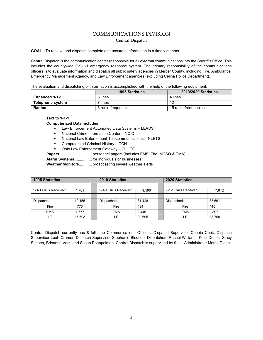#### COMMUNICATIONS DIVISION Central Dispatch

GOAL - To receive and dispatch complete and accurate information in a timely manner.

Central Dispatch is the communication center responsible for all external communications into the Sheriff's Office. This includes the countywide E-9-1-1 emergency response system. The primary responsibility of the communications officers is to evaluate information and dispatch all public safety agencies in Mercer County, including Fire, Ambulance, Emergency Management Agency, and Law Enforcement agencies (excluding Celina Police Department).

The evaluation and dispatching of information is accomplished with the help of the following equipment:

|                       | <b>1995 Statistics</b> | <b>2019/2020 Statistics</b> |  |
|-----------------------|------------------------|-----------------------------|--|
| <b>Enhanced 9-1-1</b> | 3 lines                | 4 lines                     |  |
| Telephone system      | <sup>ㄱ</sup> lines     | 12                          |  |
| Radios                | 6 radio freguencies    | 15 radio freguencies        |  |

Text to 9-1-1

#### Computerized Data includes:

- **EXECT** Law Enforcement Automated Data Systems LEADS
- National Crime Information Center NCIC
- National Law Enforcement Telecommunications NLETS
- **Computerized Criminal History CCH**
- Ohio Law Enforcement Gateway OHLEG
- Pagers .............................. personnel pagers (includes EMS, Fire, MCSO & EMA)

Alarm Systems ................ for individuals or businesses

Weather Monitors............. broadcasting severe weather alerts

| <b>1995 Statistics</b> |        | <b>2019 Statistics</b> |        | <b>2020 Statistics</b> |        |
|------------------------|--------|------------------------|--------|------------------------|--------|
|                        |        |                        |        |                        |        |
| 9-1-1 Calls Received:  | 4,701  | 9-1-1 Calls Received:  | 9,596  | 9-1-1 Calls Received:  | 7,642  |
|                        |        |                        |        |                        |        |
| Dispatched:            | 19.155 | Dispatched:            | 31.428 | Dispatched:            | 33.661 |
| Fire                   | 775    | Fire                   | 434    | Fire                   | 445    |
| <b>EMS</b>             | 1.777  | <b>EMS</b>             | 2,446  | <b>EMS</b>             | 2,897  |
| ιE.                    | 16,603 | LE                     | 29,695 | LE.                    | 33,760 |

Central Dispatch currently has 8 full time Communications Officers; Dispatch Supervisor Connie Cook, Dispatch Supervisor Leah Cramer, Dispatch Supervisor Stephanie Bledsoe, Dispatchers Rachel Williams, Kelci Dodds, Stacy Schoen, Brieanna Vest, and Susan Poeppelman. Central Dispatch is supervised by 9-1-1 Administrator Monte Diegel.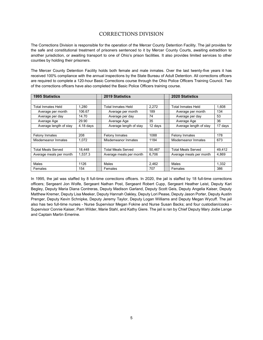#### CORRECTIONS DIVISION

The Corrections Division is responsible for the operation of the Mercer County Detention Facility. The jail provides for the safe and constitutional treatment of prisoners sentenced to it by Mercer County Courts, awaiting extradition to another jurisdiction, or awaiting transport to one of Ohio's prison facilities. It also provides limited services to other counties by holding their prisoners.

The Mercer County Detention Facility holds both female and male inmates. Over the last twenty-five years it has received 100% compliance with the annual inspections by the State Bureau of Adult Detention. All corrections officers are required to complete a 120-hour Basic Corrections course through the Ohio Police Officers Training Council. Two of the corrections officers have also completed the Basic Police Officers training course.

| <b>1995 Statistics</b>    |             | <b>2019 Statistics</b><br><b>2020 Statistics</b> |         |                         |         |
|---------------------------|-------------|--------------------------------------------------|---------|-------------------------|---------|
|                           |             |                                                  |         |                         |         |
| <b>Total Inmates Held</b> | 1.280       | Total Inmates Held                               | 2,272   | Total Inmates Held      | 1.608   |
| Average per month         | 106.67      | Average per month                                | 189     | Average per month       | 134     |
| Average per day           | 14.70       | Average per day                                  | 74      | Average per day         | 53      |
| Average Age               | 29.90       | Average Age                                      | 35      | Average Age             | 36      |
| Average length of stay    | $4.18$ days | Average length of stay                           | 12 days |                         | 17 days |
|                           |             |                                                  |         |                         |         |
| <b>Felony Inmates</b>     | 208         | Felony Inmates                                   | 1088    | <b>Felony Inmates</b>   | 178     |
| Misdemeanor Inmates       | 1.072       | Misdemeanor Inmates                              | 1184    | Misdemeanor Inmates     | 673     |
|                           |             |                                                  |         |                         |         |
| <b>Total Meals Served</b> | 18.448      | Total Meals Served                               | 50.467  | Total Meals Served      | 49.412  |
| Average meals per month   | 1,537.3     | Average meals per month                          | 6,706   | Average meals per month | 4.869   |
|                           |             |                                                  |         |                         |         |
| Males                     | 1126        | Males                                            | 2,462   | Males                   | 1,332   |
| Females                   | 154         | Females                                          | 707     | Females                 | 386     |

In 1995, the jail was staffed by 8 full-time corrections officers. In 2020, the jail is staffed by 18 full-time corrections officers; Sergeant Jon Wolfe, Sergeant Nathan Post, Sergeant Robert Cupp, Sergeant Heather Leist, Deputy Kari Begley, Deputy Maria Diana Contreras, Deputy Madison Garland, Deputy Scott Geis, Deputy Angelia Kaiser, Deputy Matthew Kremer, Deputy Lisa Meeker, Deputy Hannah Oakley, Deputy Lori Pease, Deputy Jason Porter, Deputy Austin Prenger, Deputy Kevin Schnipke, Deputy Jeremy Taylor, Deputy Logan Williams and Deputy Megan Wycuff. The jail also has two full-time nurses - Nurse Supervisor Megan Fokine and Nurse Susan Backs; and four custodian/cooks - Supervisor Connie Kaiser, Pam Wilder, Marie Stahl, and Kathy Giere. The jail is ran by Chief Deputy Mary Jodie Lange and Captain Martin Emerine.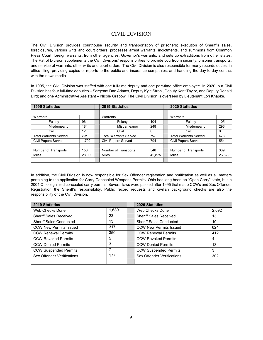#### CIVIL DIVISION

The Civil Division provides courthouse security and transportation of prisoners; execution of Sheriff's sales, foreclosures, various writs and court orders; processes arrest warrants, indictments, and summons from Common Pleas Court, foreign warrants, from other agencies, Governor's warrants; and sets up extraditions from other states. The Patrol Division supplements the Civil Divisions' responsibilities to provide courtroom security, prisoner transports, and service of warrants, other writs and court orders. The Civil Division is also responsible for many records duties, in office filing, providing copies of reports to the public and insurance companies, and handling the day-to-day contact with the news media.

In 1995, the Civil Division was staffed with one full-time deputy and one part-time office employee. In 2020, our Civil Division has four full-time deputies – Sergeant Dan Adams, Deputy Kyle Strohl, Deputy Kent Taylor, and Deputy Donald Bird; and one Administrative Assistant – Nicole Grabow. The Civil Division is overseen by Lieutenant Lori Knapke.

| <b>1995 Statistics</b>       | 2020 Statistics<br><b>2019 Statistics</b> |  |                       |        |                              |        |
|------------------------------|-------------------------------------------|--|-----------------------|--------|------------------------------|--------|
|                              |                                           |  |                       |        |                              |        |
| Warrants                     |                                           |  | Warrants              |        | Warrants                     |        |
| Felony                       | 96                                        |  | Felony                | 104    | Felony                       | 105    |
| Misdemeanor                  | 184                                       |  | Misdemeanor           | 248    | Misdemeanor                  | 296    |
| Civil                        | 12                                        |  | Civil                 | O      | Civil                        | 0      |
| <b>Total Warrants Served</b> | 292                                       |  | Total Warrants Served | 757    | <b>Total Warrants Served</b> | 473    |
| <b>Civil Papers Served</b>   | 1,702                                     |  | Civil Papers Served   | 794    | <b>Civil Papers Served</b>   | 554    |
|                              |                                           |  |                       |        |                              |        |
| Number of Transports         | 156                                       |  | Number of Transports  | 548    | Number of Transports         | 309    |
| <b>Miles</b>                 | 28,000                                    |  | Miles                 | 42,875 | Miles                        | 26,829 |
|                              |                                           |  |                       |        |                              |        |

In addition, the Civil Division is now responsible for Sex Offender registration and notification as well as all matters pertaining to the application for Carry Concealed Weapons Permits. Ohio has long been an "Open Carry" state, but in 2004 Ohio legalized concealed carry permits. Several laws were passed after 1995 that made CCWs and Sex Offender Registration the Sheriff's responsibility. Public record requests and civilian background checks are also the responsibility of the Civil Division.

| <b>2019 Statistics</b>         |       | <b>2020 Statistics</b>         |       |
|--------------------------------|-------|--------------------------------|-------|
| Web Checks Done                | 1,689 | Web Checks Done                | 2,092 |
| <b>Sheriff Sales Received</b>  | 23    | <b>Sheriff Sales Received</b>  | 13    |
| <b>Sheriff Sales Conducted</b> | 13    | <b>Sheriff Sales Conducted</b> | 10    |
| <b>CCW New Permits Issued</b>  | 317   | <b>CCW New Permits Issued</b>  | 624   |
| <b>CCW Renewal Permits</b>     | 350   | <b>CCW Renewal Permits</b>     | 412   |
| <b>CCW Revoked Permits</b>     | 5     | <b>CCW Revoked Permits</b>     | 4     |
| <b>CCW Denied Permits</b>      | 3     | <b>CCW Denied Permits</b>      | 13    |
| <b>CCW Suspended Permits</b>   |       | <b>CCW Suspended Permits</b>   | 3     |
| Sex Offender Verifications     | 177   | Sex Offender Verifications     | 302   |
|                                |       |                                |       |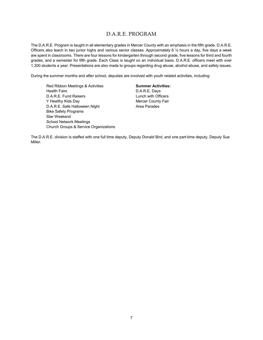#### D.A.R.E. PROGRAM

The D.A.R.E. Program is taught in all elementary grades in Mercer County with an emphasis in the fifth grade. D.A.R.E. Officers also teach in two junior highs and various senior classes. Approximately 6 ½ hours a day, five days a week are spent in classrooms. There are four lessons for kindergarten through second grade, five lessons for third and fourth grades, and a semester for fifth grade. Each Class is taught on an individual basis. D.A.R.E. officers meet with over 1,300 students a year. Presentations are also made to groups regarding drug abuse, alcohol abuse, and safety issues.

During the summer months and after school, deputies are involved with youth related activities, including:

Red Ribbon Meetings & Activities Health Fairs D.A.R.E. Fund Raisers Y Healthy Kids Day D.A.R.E. Safe Halloween Night Bike Safety Programs Star Weekend School Network Meetings Church Groups & Service Organizations

Summer Activities: D.A.R.E. Days Lunch with Officers Mercer County Fair Area Parades

The D.A.R.E. division is staffed with one full time deputy, Deputy Donald Bird, and one part-time deputy, Deputy Sue Miller.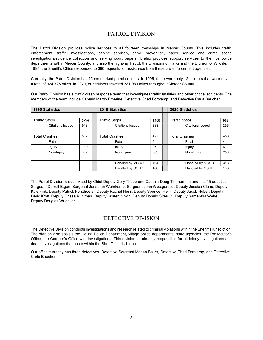#### PATROL DIVISION

The Patrol Division provides police services to all fourteen townships in Mercer County. This includes traffic enforcement, traffic investigations, canine services, crime prevention, paper service and crime scene investigations/evidence collection and serving court papers. It also provides support services to the five police departments within Mercer County, and also the highway Patrol, the Divisions of Parks and the Division of Wildlife. In 1995, the Sheriff's Office responded to 390 requests for assistance from these law enforcement agencies.

Currently, the Patrol Division has fifteen marked patrol cruisers. In 1995, there were only 12 cruisers that were driven a total of 324,725 miles. In 2020, our cruisers traveled 381,989 miles throughout Mercer County.

Our Patrol Division has a traffic crash response team that investigates traffic fatalities and other critical accidents. The members of the team include Captain Martin Emerine, Detective Chad Fortkamp, and Detective Carla Baucher.

| <b>1995 Statistics</b>  |       |                     | <b>2019 Statistics</b>  |      |        | <b>2020 Statistics</b>  |     |
|-------------------------|-------|---------------------|-------------------------|------|--------|-------------------------|-----|
|                         |       |                     |                         |      |        |                         |     |
| <b>Traffic Stops</b>    | (n/a) |                     | <b>Traffic Stops</b>    | 1199 |        | <b>Traffic Stops</b>    | 953 |
| <b>Citations Issued</b> | 913   |                     | <b>Citations Issued</b> | 388  |        | <b>Citations Issued</b> | 296 |
|                         |       |                     |                         |      |        |                         |     |
| <b>Total Crashes</b>    | 532   |                     | <b>Total Crashes</b>    | 477  |        | <b>Total Crashes</b>    | 456 |
| Fatal                   | 11    | 5<br>Fatal<br>Fatal |                         |      | 4      |                         |     |
| Injury                  | 139   |                     | Injury                  | 96   | Injury |                         | 61  |
| Non-Injury              | 382   |                     | Non-Injury              | 363  |        | Non-Injury              | 253 |
|                         |       |                     |                         |      |        |                         |     |
|                         |       |                     | Handled by MCSO         | 464  |        | Handled by MCSO         | 318 |
|                         |       |                     | Handled by OSHP         | 108  |        | Handled by OSHP         | 183 |

The Patrol Division is supervised by Chief Deputy Gery Thobe and Captain Doug Timmerman and has 15 deputies; Sergeant Darrell Etgen, Sergeant Jonathan Wehrkamp, Sergeant John Westgerdes, Deputy Jessica Clune, Deputy Kyle Fink, Deputy Patrick Forsthoefel, Deputy Rachel Heinl, Deputy Spencer Heinl, Deputy Jacob Huber, Deputy Deric Kroft, Deputy Chase Kuhlman, Deputy Kristen Nixon, Deputy Donald Sites Jr., Deputy Samantha Wehe, Deputy Douglas Wuebker

#### DETECTIVE DIVISION

The Detective Division conducts investigations and research related to criminal violations within the Sheriff's jurisdiction. The division also assists the Celina Police Department, village police departments, state agencies, the Prosecutor's Office, the Coroner's Office with investigations. This division is primarily responsible for all felony investigations and death investigations that occur within the Sheriff's Jurisdiction.

Our office currently has three detectives, Detective Sergeant Megan Baker, Detective Chad Fortkamp, and Detective Carla Baucher.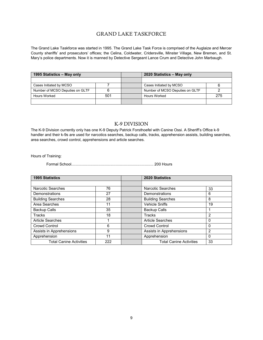#### GRAND LAKE TASKFORCE

The Grand Lake Taskforce was started in 1995. The Grand Lake Task Force is comprised of the Auglaize and Mercer County sheriffs' and prosecutors' offices; the Celina, Coldwater, Cridersville, Minster Village, New Bremen, and St. Mary's police departments. Now it is manned by Detective Sergeant Lance Crum and Detective John Marbaugh.

| 1995 Statistics - May only      |     |  | 2020 Statistics - May only      |     |  |
|---------------------------------|-----|--|---------------------------------|-----|--|
|                                 |     |  |                                 |     |  |
| Cases Initiated by MCSO         |     |  | Cases Initiated by MCSO         |     |  |
| Number of MCSO Deputies on GLTF |     |  | Number of MCSO Deputies on GLTF |     |  |
| Hours Worked                    | 501 |  | <b>Hours Worked</b>             | 275 |  |
|                                 |     |  |                                 |     |  |

#### K-9 DIVISION

The K-9 Division currently only has one K-9 Deputy Patrick Forsthoefel with Canine Ossi. A Sheriff's Office k-9 handler and their k-9s are used for narcotics searches, backup calls, tracks, apprehension assists, building searches, area searches, crowd control, apprehensions and article searches.

Hours of Training:

Formal School ............................................................................ 200 Hours

| <b>1995 Statistics</b>         |     | 2020 Statistics                |                |
|--------------------------------|-----|--------------------------------|----------------|
|                                |     |                                |                |
| <b>Narcotic Searches</b>       | 76  | <b>Narcotic Searches</b>       | 33             |
| Demonstrations                 | 27  | Demonstrations                 | 6              |
| <b>Building Searches</b>       | 28  | <b>Building Searches</b>       | 8              |
| Area Searches                  | 11  | <b>Vehicle Sniffs</b>          | 19             |
| <b>Backup Calls</b>            | 35  | <b>Backup Calls</b>            |                |
| <b>Tracks</b>                  | 18  | <b>Tracks</b>                  | 2              |
| <b>Article Searches</b>        |     | <b>Article Searches</b>        | 0              |
| <b>Crowd Control</b>           | 6   | <b>Crowd Control</b>           | 0              |
| Assists in Apprehensions       | 9   | Assists in Apprehensions       | $\overline{2}$ |
| Apprehension                   | 11  | Apprehension                   | 0              |
| <b>Total Canine Activities</b> | 222 | <b>Total Canine Activities</b> | 33             |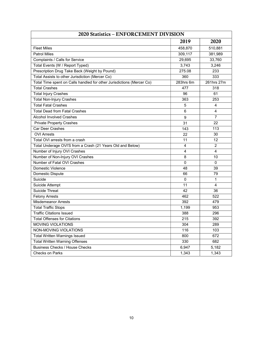| 2020 Statistics - ENFORCEMENT DIVISION                                |                |                |  |  |  |  |  |
|-----------------------------------------------------------------------|----------------|----------------|--|--|--|--|--|
|                                                                       | 2019           | 2020           |  |  |  |  |  |
| <b>Fleet Miles</b>                                                    | 458,870        | 510,881        |  |  |  |  |  |
| <b>Patrol Miles</b>                                                   | 309,117        | 381,989        |  |  |  |  |  |
| Complaints / Calls for Service                                        | 29,695         | 33,760         |  |  |  |  |  |
| Total Events (W / Report Typed)                                       | 3,743          | 3,246          |  |  |  |  |  |
| Prescription Drug Take Back (Weight by Pound)                         | 275.08         | 233            |  |  |  |  |  |
| Total Assists to other Jurisdiction (Mercer Co)                       | 360            | 333            |  |  |  |  |  |
| Total Time spent on Calls handled for other Jurisdictions (Mercer Co) | 283hrs 6m      | 261hrs 27m     |  |  |  |  |  |
| <b>Total Crashes</b>                                                  | 477            | 318            |  |  |  |  |  |
| <b>Total Injury Crashes</b>                                           | 96             | 61             |  |  |  |  |  |
| <b>Total Non-Injury Crashes</b>                                       | 363            | 253            |  |  |  |  |  |
| <b>Total Fatal Crashes</b>                                            | 5              | $\overline{4}$ |  |  |  |  |  |
| <b>Total Dead from Fatal Crashes</b>                                  | 6              | $\overline{4}$ |  |  |  |  |  |
| <b>Alcohol Involved Crashes</b>                                       | 9              | $\overline{7}$ |  |  |  |  |  |
| <b>Private Property Crashes</b>                                       | 31             | 22             |  |  |  |  |  |
| Car Deer Crashes                                                      | 143            | 113            |  |  |  |  |  |
| <b>OVI Arrests</b>                                                    | 22             | 30             |  |  |  |  |  |
| Total OVI arrests from a crash                                        | 11             | 12             |  |  |  |  |  |
| Total Underage OVI'S from a Crash (21 Years Old and Below)            | 4              | $\overline{c}$ |  |  |  |  |  |
| Number of Injury OVI Crashes                                          | $\overline{4}$ | $\overline{4}$ |  |  |  |  |  |
| Number of Non-Injury OVI Crashes                                      | 8              | 10             |  |  |  |  |  |
| Number of Fatal OVI Crashes                                           | $\mathbf{0}$   | $\Omega$       |  |  |  |  |  |
| Domestic Violence                                                     | 48             | 39             |  |  |  |  |  |
| Domestic Dispute                                                      | 66             | 79             |  |  |  |  |  |
| Suicide                                                               | $\mathbf 0$    | $\mathbf{1}$   |  |  |  |  |  |
| Suicide Attempt                                                       | 11             | 4              |  |  |  |  |  |
| Suicide Threat                                                        | 42             | 36             |  |  |  |  |  |
| <b>Felony Arrests</b>                                                 | 462            | 522            |  |  |  |  |  |
| <b>Misdemeanor Arrests</b>                                            | 392            | 479            |  |  |  |  |  |
| <b>Total Traffic Stops</b>                                            | 1,199          | 953            |  |  |  |  |  |
| <b>Traffic Citations Issued</b>                                       | 388            | 296            |  |  |  |  |  |
| <b>Total Offenses for Citations</b>                                   | 215            | 392            |  |  |  |  |  |
| <b>MOVING VIOLATIONS</b>                                              | 304            | 289            |  |  |  |  |  |
| NON-MOVING VIOLATIONS                                                 | 116            | 103            |  |  |  |  |  |
| <b>Total Written Warnings Issued</b>                                  | 800            | 672            |  |  |  |  |  |
| <b>Total Written Warning Offenses</b>                                 | 330            | 682            |  |  |  |  |  |
| <b>Business Checks / House Checks</b>                                 | 6,947          | 5,182          |  |  |  |  |  |
| <b>Checks on Parks</b>                                                | 1,343          | 1,343          |  |  |  |  |  |